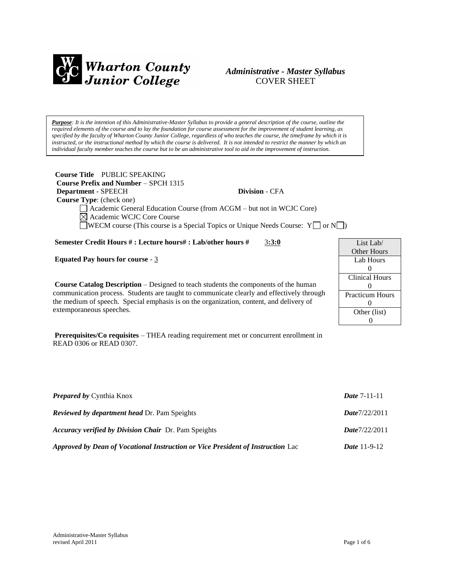

### *Administrative - Master Syllabus*  COVER SHEET

*Purpose: It is the intention of this Administrative-Master Syllabus to provide a general description of the course, outline the required elements of the course and to lay the foundation for course assessment for the improvement of student learning, as specified by the faculty of Wharton County Junior College, regardless of who teaches the course, the timeframe by which it is instructed, or the instructional method by which the course is delivered. It is not intended to restrict the manner by which an individual faculty member teaches the course but to be an administrative tool to aid in the improvement of instruction.*

| Course Title PUBLIC SPEAKING                |                                                                                        |
|---------------------------------------------|----------------------------------------------------------------------------------------|
| <b>Course Prefix and Number – SPCH 1315</b> |                                                                                        |
| <b>Department - SPEECH</b>                  | <b>Division - CFA</b>                                                                  |
| <b>Course Type:</b> (check one)             |                                                                                        |
|                                             | $\Box$ Academic General Education Course (from ACGM $-$ but not in WCJC Core)          |
| $\boxtimes$ Academic WCJC Core Course       |                                                                                        |
|                                             | <b>NECM</b> course (This course is a Special Topics or Unique Needs Course: $Y \cap Y$ |

**Semester Credit Hours # : Lecture hours# : Lab/other hours #** 3**:3:0**

**Equated Pay hours for course** - 3

**Course Catalog Description** – Designed to teach students the components of the human communication process. Students are taught to communicate clearly and effectively through the medium of speech. Special emphasis is on the organization, content, and delivery of extemporaneous speeches.

**Prerequisites/Co requisites** – THEA reading requirement met or concurrent enrollment in READ 0306 or READ 0307.

| <b>Prepared by Cynthia Knox</b>                                                 | <i>Date</i> $7-11-11$ |
|---------------------------------------------------------------------------------|-----------------------|
| <b>Reviewed by department head Dr. Pam Speights</b>                             | Date7/22/2011         |
| <i>Accuracy verified by Division Chair Dr. Pam Speights</i>                     | Date7/22/2011         |
| Approved by Dean of Vocational Instruction or Vice President of Instruction Lac | <i>Date</i> $11-9-12$ |

| List Lab/              |  |  |
|------------------------|--|--|
| Other Hours            |  |  |
| Lab Hours              |  |  |
| $\mathbf{0}$           |  |  |
| <b>Clinical Hours</b>  |  |  |
| $\mathbf{0}$           |  |  |
| <b>Practicum Hours</b> |  |  |
| 0                      |  |  |
| Other (list)           |  |  |
|                        |  |  |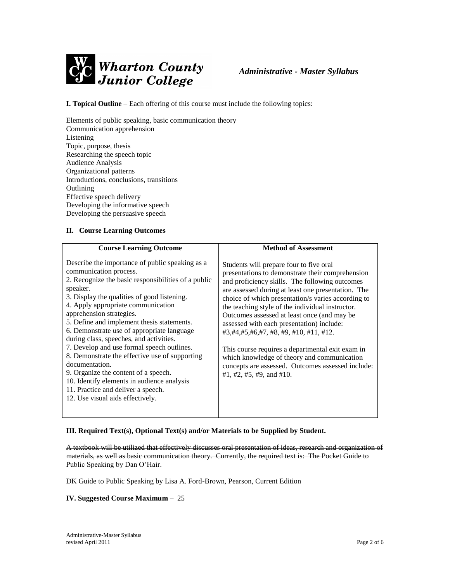

**I. Topical Outline** – Each offering of this course must include the following topics:

Elements of public speaking, basic communication theory Communication apprehension Listening Topic, purpose, thesis Researching the speech topic Audience Analysis Organizational patterns Introductions, conclusions, transitions Outlining Effective speech delivery Developing the informative speech Developing the persuasive speech

#### **II. Course Learning Outcomes**

| <b>Course Learning Outcome</b>                                                                                                                                                                                                                                                                                                                                                                                                                                                                                                                                                                                                                                                         | <b>Method of Assessment</b>                                                                                                                                                                                                                                                                                                                                                                                                                                                                                                                                                                                                                             |
|----------------------------------------------------------------------------------------------------------------------------------------------------------------------------------------------------------------------------------------------------------------------------------------------------------------------------------------------------------------------------------------------------------------------------------------------------------------------------------------------------------------------------------------------------------------------------------------------------------------------------------------------------------------------------------------|---------------------------------------------------------------------------------------------------------------------------------------------------------------------------------------------------------------------------------------------------------------------------------------------------------------------------------------------------------------------------------------------------------------------------------------------------------------------------------------------------------------------------------------------------------------------------------------------------------------------------------------------------------|
| Describe the importance of public speaking as a<br>communication process.<br>2. Recognize the basic responsibilities of a public<br>speaker.<br>3. Display the qualities of good listening.<br>4. Apply appropriate communication<br>apprehension strategies.<br>5. Define and implement thesis statements.<br>6. Demonstrate use of appropriate language<br>during class, speeches, and activities.<br>7. Develop and use formal speech outlines.<br>8. Demonstrate the effective use of supporting<br>documentation.<br>9. Organize the content of a speech.<br>10. Identify elements in audience analysis<br>11. Practice and deliver a speech.<br>12. Use visual aids effectively. | Students will prepare four to five oral<br>presentations to demonstrate their comprehension<br>and proficiency skills. The following outcomes<br>are assessed during at least one presentation. The<br>choice of which presentation/s varies according to<br>the teaching style of the individual instructor.<br>Outcomes assessed at least once (and may be<br>assessed with each presentation) include:<br>$\#3, \#4, \#5, \#6, \#7, \#8, \#9, \#10, \#11, \#12.$<br>This course requires a departmental exit exam in<br>which knowledge of theory and communication<br>concepts are assessed. Outcomes assessed include:<br>#1, #2, #5, #9, and #10. |
|                                                                                                                                                                                                                                                                                                                                                                                                                                                                                                                                                                                                                                                                                        |                                                                                                                                                                                                                                                                                                                                                                                                                                                                                                                                                                                                                                                         |

#### **III. Required Text(s), Optional Text(s) and/or Materials to be Supplied by Student.**

A textbook will be utilized that effectively discusses oral presentation of ideas, research and organization of materials, as well as basic communication theory. Currently, the required text is: The Pocket Guide to Public Speaking by Dan O'Hair.

DK Guide to Public Speaking by Lisa A. Ford-Brown, Pearson, Current Edition

#### **IV. Suggested Course Maximum** – 25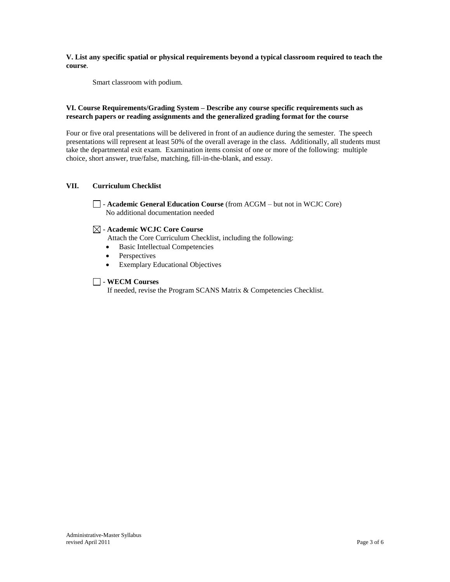**V. List any specific spatial or physical requirements beyond a typical classroom required to teach the course**.

Smart classroom with podium.

#### **VI. Course Requirements/Grading System – Describe any course specific requirements such as research papers or reading assignments and the generalized grading format for the course**

Four or five oral presentations will be delivered in front of an audience during the semester. The speech presentations will represent at least 50% of the overall average in the class. Additionally, all students must take the departmental exit exam. Examination items consist of one or more of the following: multiple choice, short answer, true/false, matching, fill-in-the-blank, and essay.

### **VII. Curriculum Checklist**

- **Academic General Education Course** (from ACGM – but not in WCJC Core) No additional documentation needed

#### - **Academic WCJC Core Course**

Attach the Core Curriculum Checklist, including the following:

- Basic Intellectual Competencies
- Perspectives
- Exemplary Educational Objectives

#### - **WECM Courses**

If needed, revise the Program SCANS Matrix & Competencies Checklist.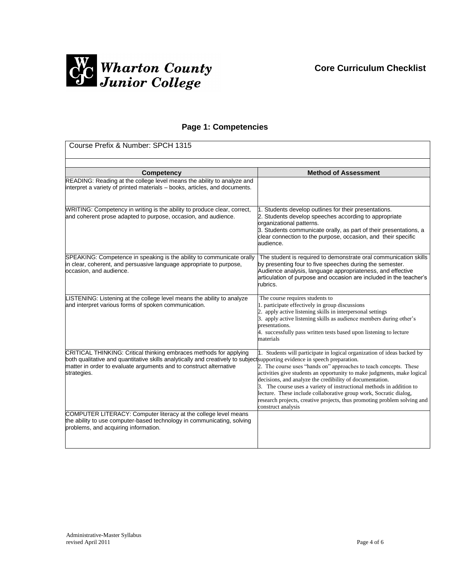

## **Page 1: Competencies**

| Course Prefix & Number: SPCH 1315                                                                                                                                                                                                                                                     |                                                                                                                                                                                                                                                                                                                                                                                                                                                                                                                                    |  |
|---------------------------------------------------------------------------------------------------------------------------------------------------------------------------------------------------------------------------------------------------------------------------------------|------------------------------------------------------------------------------------------------------------------------------------------------------------------------------------------------------------------------------------------------------------------------------------------------------------------------------------------------------------------------------------------------------------------------------------------------------------------------------------------------------------------------------------|--|
|                                                                                                                                                                                                                                                                                       |                                                                                                                                                                                                                                                                                                                                                                                                                                                                                                                                    |  |
| Competency                                                                                                                                                                                                                                                                            | <b>Method of Assessment</b>                                                                                                                                                                                                                                                                                                                                                                                                                                                                                                        |  |
| READING: Reading at the college level means the ability to analyze and<br>interpret a variety of printed materials - books, articles, and documents.                                                                                                                                  |                                                                                                                                                                                                                                                                                                                                                                                                                                                                                                                                    |  |
| WRITING: Competency in writing is the ability to produce clear, correct,<br>and coherent prose adapted to purpose, occasion, and audience.                                                                                                                                            | 1. Students develop outlines for their presentations.<br>2. Students develop speeches according to appropriate<br>organizational patterns.<br>3. Students communicate orally, as part of their presentations, a<br>clear connection to the purpose, occasion, and their specific<br>audience.                                                                                                                                                                                                                                      |  |
| SPEAKING: Competence in speaking is the ability to communicate orally<br>in clear, coherent, and persuasive language appropriate to purpose,<br>occasion, and audience.                                                                                                               | The student is required to demonstrate oral communication skills<br>by presenting four to five speeches during the semester.<br>Audience analysis, language appropriateness, and effective<br>articulation of purpose and occasion are included in the teacher's<br>rubrics.                                                                                                                                                                                                                                                       |  |
| LISTENING: Listening at the college level means the ability to analyze<br>and interpret various forms of spoken communication.                                                                                                                                                        | The course requires students to<br>1. participate effectively in group discussions<br>2. apply active listening skills in interpersonal settings<br>3. apply active listening skills as audience members during other's<br>presentations.<br>4. successfully pass written tests based upon listening to lecture<br>materials                                                                                                                                                                                                       |  |
| CRITICAL THINKING: Critical thinking embraces methods for applying<br>both qualitative and quantitative skills analytically and creatively to subject supporting evidence in speech preparation.<br>matter in order to evaluate arguments and to construct alternative<br>strategies. | 1. Students will participate in logical organization of ideas backed by<br>2. The course uses "hands on" approaches to teach concepts. These<br>activities give students an opportunity to make judgments, make logical<br>decisions, and analyze the credibility of documentation.<br>3. The course uses a variety of instructional methods in addition to<br>lecture. These include collaborative group work, Socratic dialog,<br>research projects, creative projects, thus promoting problem solving and<br>construct analysis |  |
| COMPUTER LITERACY: Computer literacy at the college level means<br>the ability to use computer-based technology in communicating, solving<br>problems, and acquiring information.                                                                                                     |                                                                                                                                                                                                                                                                                                                                                                                                                                                                                                                                    |  |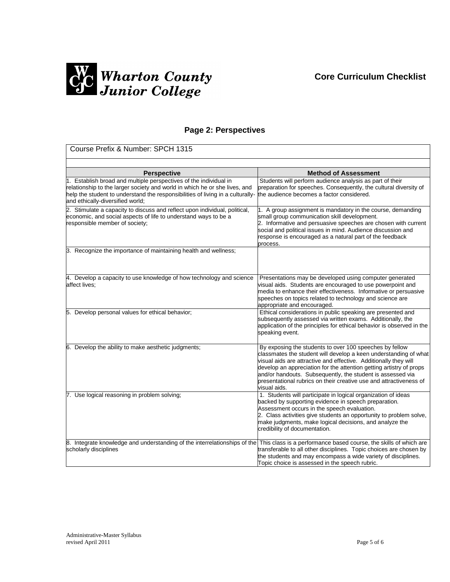# **Core Curriculum Checklist**



## **Page 2: Perspectives**

| Course Prefix & Number: SPCH 1315                                                                                                                                                                                                                                     |                                                                                                                                                                                                                                                                                                                                                                                                                            |  |  |
|-----------------------------------------------------------------------------------------------------------------------------------------------------------------------------------------------------------------------------------------------------------------------|----------------------------------------------------------------------------------------------------------------------------------------------------------------------------------------------------------------------------------------------------------------------------------------------------------------------------------------------------------------------------------------------------------------------------|--|--|
|                                                                                                                                                                                                                                                                       |                                                                                                                                                                                                                                                                                                                                                                                                                            |  |  |
| <b>Perspective</b>                                                                                                                                                                                                                                                    | <b>Method of Assessment</b>                                                                                                                                                                                                                                                                                                                                                                                                |  |  |
| 1. Establish broad and multiple perspectives of the individual in<br>relationship to the larger society and world in which he or she lives, and<br>help the student to understand the responsibilities of living in a culturally-<br>and ethically-diversified world; | Students will perform audience analysis as part of their<br>preparation for speeches. Consequently, the cultural diversity of<br>the audience becomes a factor considered.                                                                                                                                                                                                                                                 |  |  |
| 2. Stimulate a capacity to discuss and reflect upon individual, political,<br>economic, and social aspects of life to understand ways to be a<br>responsible member of society;                                                                                       | 1. A group assignment is mandatory in the course, demanding<br>small group communication skill development.<br>2. Informative and persuasive speeches are chosen with current<br>social and political issues in mind. Audience discussion and<br>response is encouraged as a natural part of the feedback<br>process.                                                                                                      |  |  |
| 3. Recognize the importance of maintaining health and wellness;                                                                                                                                                                                                       |                                                                                                                                                                                                                                                                                                                                                                                                                            |  |  |
| 4. Develop a capacity to use knowledge of how technology and science<br>affect lives:                                                                                                                                                                                 | Presentations may be developed using computer generated<br>visual aids. Students are encouraged to use powerpoint and<br>media to enhance their effectiveness. Informative or persuasive<br>speeches on topics related to technology and science are<br>appropriate and encouraged.                                                                                                                                        |  |  |
| 5. Develop personal values for ethical behavior;                                                                                                                                                                                                                      | Ethical considerations in public speaking are presented and<br>subsequently assessed via written exams. Additionally, the<br>application of the principles for ethical behavior is observed in the<br>speaking event.                                                                                                                                                                                                      |  |  |
| 6. Develop the ability to make aesthetic judgments;                                                                                                                                                                                                                   | By exposing the students to over 100 speeches by fellow<br>classmates the student will develop a keen understanding of what<br>visual aids are attractive and effective. Additionally they will<br>develop an appreciation for the attention getting artistry of props<br>and/or handouts. Subsequently, the student is assessed via<br>bresentational rubrics on their creative use and attractiveness of<br>visual aids. |  |  |
| 7. Use logical reasoning in problem solving;                                                                                                                                                                                                                          | 1. Students will participate in logical organization of ideas<br>backed by supporting evidence in speech preparation.<br>Assessment occurs in the speech evaluation.<br>2. Class activities give students an opportunity to problem solve,<br>make judgments, make logical decisions, and analyze the<br>credibility of documentation.                                                                                     |  |  |
| 8. Integrate knowledge and understanding of the interrelationships of the This class is a performance based course, the skills of which are<br>scholarly disciplines                                                                                                  | transferable to all other disciplines. Topic choices are chosen by<br>the students and may encompass a wide variety of disciplines.<br>Topic choice is assessed in the speech rubric.                                                                                                                                                                                                                                      |  |  |